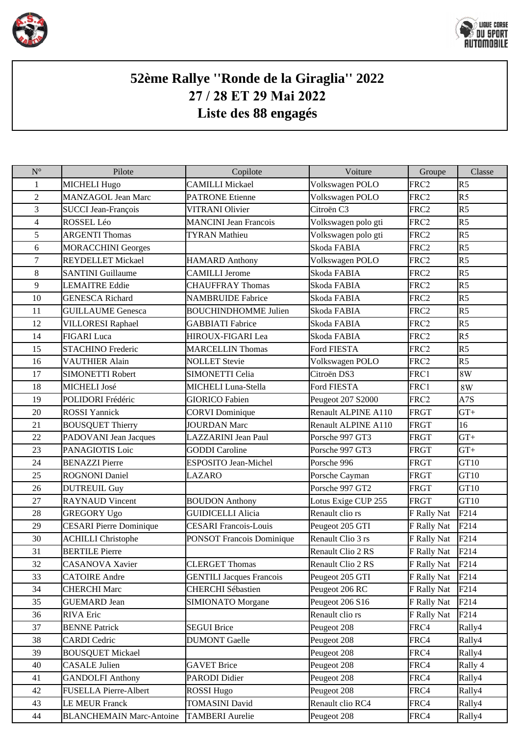



## **52ème Rallye ''Ronde de la Giraglia'' 2022 27 / 28 ET 29 Mai 2022 Liste des 88 engagés**

| $N^{\circ}$              | Pilote                          | Copilote                         | Voiture             | Groupe           | Classe           |
|--------------------------|---------------------------------|----------------------------------|---------------------|------------------|------------------|
| 1                        | <b>MICHELI Hugo</b>             | <b>CAMILLI Mickael</b>           | Volkswagen POLO     | FRC2             | R <sub>5</sub>   |
| $\overline{2}$           | <b>MANZAGOL Jean Marc</b>       | <b>PATRONE Etienne</b>           | Volkswagen POLO     | FRC2             | R5               |
| 3                        | <b>SUCCI Jean-François</b>      | <b>VITRANI Olivier</b>           | Citroën C3          | FRC <sub>2</sub> | R <sub>5</sub>   |
| $\overline{\mathcal{L}}$ | ROSSEL Léo                      | <b>MANCINI Jean Francois</b>     | Volkswagen polo gti | FRC2             | R5               |
| 5                        | <b>ARGENTI Thomas</b>           | <b>TYRAN</b> Mathieu             | Volkswagen polo gti | FRC <sub>2</sub> | R <sub>5</sub>   |
| 6                        | <b>MORACCHINI Georges</b>       |                                  | Skoda FABIA         | FRC <sub>2</sub> | R5               |
| $\tau$                   | <b>REYDELLET Mickael</b>        | <b>HAMARD Anthony</b>            | Volkswagen POLO     | FRC2             | R5               |
| 8                        | <b>SANTINI Guillaume</b>        | <b>CAMILLI Jerome</b>            | Skoda FABIA         | FRC <sub>2</sub> | R <sub>5</sub>   |
| 9                        | <b>LEMAITRE Eddie</b>           | <b>CHAUFFRAY Thomas</b>          | Skoda FABIA         | FRC2             | R5               |
| 10                       | <b>GENESCA Richard</b>          | <b>NAMBRUIDE Fabrice</b>         | Skoda FABIA         | FRC2             | R <sub>5</sub>   |
| 11                       | <b>GUILLAUME</b> Genesca        | <b>BOUCHINDHOMME Julien</b>      | Skoda FABIA         | FRC <sub>2</sub> | R5               |
| 12                       | <b>VILLORESI Raphael</b>        | <b>GABBIATI</b> Fabrice          | Skoda FABIA         | FRC2             | R <sub>5</sub>   |
| 14                       | <b>FIGARI</b> Luca              | HIROUX-FIGARI Lea                | Skoda FABIA         | FRC2             | R <sub>5</sub>   |
| 15                       | <b>STACHINO Frederic</b>        | <b>MARCELLIN Thomas</b>          | Ford FIESTA         | FRC2             | R5               |
| 16                       | <b>VAUTHIER Alain</b>           | <b>NOLLET</b> Stevie             | Volkswagen POLO     | FRC2             | R <sub>5</sub>   |
| 17                       | <b>SIMONETTI Robert</b>         | SIMONETTI Celia                  | Citroën DS3         | FRC1             | 8W               |
| 18                       | MICHELI José                    | MICHELI Luna-Stella              | Ford FIESTA         | FRC1             | 8W               |
| 19                       | POLIDORI Frédéric               | <b>GIORICO Fabien</b>            | Peugeot 207 S2000   | FRC2             | A7S              |
| 20                       | <b>ROSSI</b> Yannick            | <b>CORVI</b> Dominique           | Renault ALPINE A110 | <b>FRGT</b>      | $GT+$            |
| 21                       | <b>BOUSQUET Thierry</b>         | <b>JOURDAN Marc</b>              | Renault ALPINE A110 | <b>FRGT</b>      | 16               |
| 22                       | PADOVANI Jean Jacques           | <b>LAZZARINI Jean Paul</b>       | Porsche 997 GT3     | <b>FRGT</b>      | $GT+$            |
| 23                       | PANAGIOTIS Loic                 | <b>GODDI</b> Caroline            | Porsche 997 GT3     | <b>FRGT</b>      | $GT+$            |
| 24                       | <b>BENAZZI</b> Pierre           | ESPOSITO Jean-Michel             | Porsche 996         | <b>FRGT</b>      | GT <sub>10</sub> |
| 25                       | <b>ROGNONI Daniel</b>           | <b>LAZARO</b>                    | Porsche Cayman      | <b>FRGT</b>      | GT <sub>10</sub> |
| 26                       | <b>DUTREUIL Guy</b>             |                                  | Porsche 997 GT2     | <b>FRGT</b>      | GT <sub>10</sub> |
| 27                       | <b>RAYNAUD</b> Vincent          | <b>BOUDON Anthony</b>            | Lotus Exige CUP 255 | <b>FRGT</b>      | GT <sub>10</sub> |
| 28                       | <b>GREGORY Ugo</b>              | <b>GUIDICELLI Alicia</b>         | Renault clio rs     | F Rally Nat      | F214             |
| 29                       | <b>CESARI</b> Pierre Dominique  | <b>CESARI Francois-Louis</b>     | Peugeot 205 GTI     | F Rally Nat      | F214             |
| 30                       | <b>ACHILLI Christophe</b>       | <b>PONSOT Francois Dominique</b> | Renault Clio 3 rs   | F Rally Nat      | F214             |
| 31                       | <b>BERTILE Pierre</b>           |                                  | Renault Clio 2 RS   | F Rally Nat      | F214             |
| 32                       | CASANOVA Xavier                 | <b>CLERGET Thomas</b>            | Renault Clio 2 RS   | F Rally Nat      | F214             |
| 33                       | <b>CATOIRE</b> Andre            | <b>GENTILI Jacques Francois</b>  | Peugeot 205 GTI     | F Rally Nat      | F214             |
| 34                       | <b>CHERCHI Marc</b>             | <b>CHERCHI</b> Sébastien         | Peugeot 206 RC      | F Rally Nat      | F214             |
| 35                       | <b>GUEMARD</b> Jean             | <b>SIMIONATO Morgane</b>         | Peugeot 206 S16     | F Rally Nat      | F <sub>214</sub> |
| 36                       | <b>RIVA</b> Eric                |                                  | Renault clio rs     | F Rally Nat      | F214             |
| 37                       | <b>BENNE Patrick</b>            | <b>SEGUI Brice</b>               | Peugeot 208         | FRC4             | Rally4           |
| 38                       | <b>CARDI</b> Cedric             | <b>DUMONT</b> Gaelle             | Peugeot 208         | FRC4             | Rally4           |
| 39                       | <b>BOUSQUET Mickael</b>         |                                  | Peugeot 208         | FRC4             | Rally4           |
| 40                       | <b>CASALE Julien</b>            | <b>GAVET Brice</b>               | Peugeot 208         | FRC4             | Rally 4          |
| 41                       | <b>GANDOLFI Anthony</b>         | PARODI Didier                    | Peugeot 208         | FRC4             | Rally4           |
| 42                       | FUSELLA Pierre-Albert           | <b>ROSSI Hugo</b>                | Peugeot 208         | FRC4             | Rally4           |
| 43                       | <b>LE MEUR Franck</b>           | <b>TOMASINI David</b>            | Renault clio RC4    | FRC4             | Rally4           |
| 44                       | <b>BLANCHEMAIN Marc-Antoine</b> | <b>TAMBERI</b> Aurelie           | Peugeot 208         | FRC4             | Rally4           |